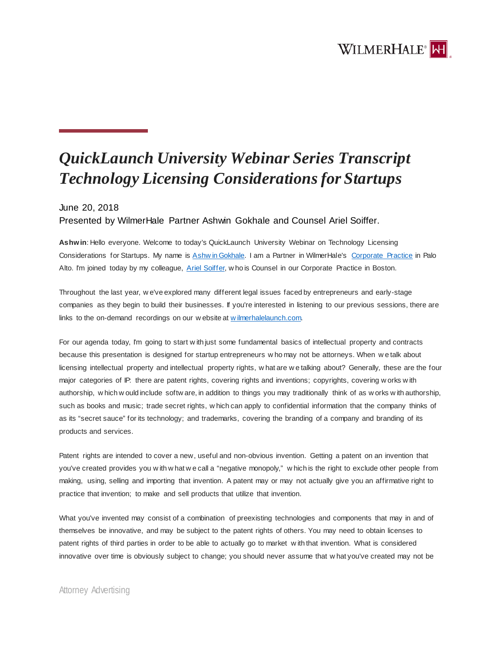## WILMERHALE<sup>®</sup>

## *QuickLaunch University Webinar Series Transcript Technology Licensing Considerations for Startups*

## June 20, 2018

Presented by WilmerHale Partner Ashwin Gokhale and Counsel Ariel Soiffer.

**Ashwin**: Hello everyone. Welcome to today's QuickLaunch University Webinar on Technology Licensing Considerations for Startups. My name is [Ashw in Gokhale.](https://launch.wilmerhale.com/meet-our-team/ashwin-gokhale) I am a Partner in WilmerHale's [Corporate Practice](https://www.wilmerhale.com/corporate) in Palo Alto. I'm joined today by my colleague, [Ariel Soiffer,](https://www.wilmerhale.com/en/people/ariel-soiffer) w ho is Counsel in our Corporate Practice in Boston.

Throughout the last year, w e've explored many different legal issues faced by entrepreneurs and early-stage companies as they begin to build their businesses. If you're interested in listening to our previous sessions, there are links to the on-demand recordings on our w ebsite at w ilmerhalelaunch.com.

For our agenda today, I'm going to start w ith just some fundamental basics of intellectual property and contracts because this presentation is designed for startup entrepreneurs w ho may not be attorneys. When w e talk about licensing intellectual property and intellectual property rights, w hat are w e talking about? Generally, these are the four major categories of IP: there are patent rights, covering rights and inventions; copyrights, covering w orks w ith authorship, w hich w ould include softw are, in addition to things you may traditionally think of as w orks w ith authorship, such as books and music; trade secret rights, w hich can apply to confidential information that the company thinks of as its "secret sauce" for its technology; and trademarks, covering the branding of a company and branding of its products and services.

Patent rights are intended to cover a new, useful and non-obvious invention. Getting a patent on an invention that you've created provides you w ith w hat w e call a "negative monopoly," w hich is the right to exclude other people from making, using, selling and importing that invention. A patent may or may not actually give you an affirmative right to practice that invention; to make and sell products that utilize that invention.

What you've invented may consist of a combination of preexisting technologies and components that may in and of themselves be innovative, and may be subject to the patent rights of others. You may need to obtain licenses to patent rights of third parties in order to be able to actually go to market w ith that invention. What is considered innovative over time is obviously subject to change; you should never assume that w hat you've created may not be

## Attorney Advertising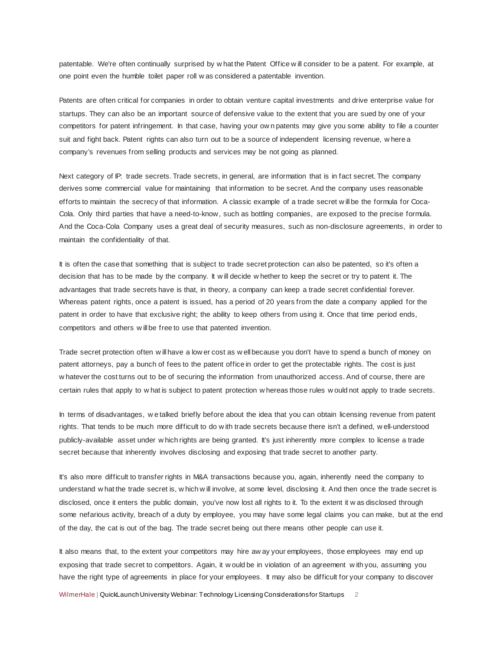patentable. We're often continually surprised by w hat the Patent Office w ill consider to be a patent. For example, at one point even the humble toilet paper roll w as considered a patentable invention.

Patents are often critical for companies in order to obtain venture capital investments and drive enterprise value for startups. They can also be an important source of defensive value to the extent that you are sued by one of your competitors for patent infringement. In that case, having your ow n patents may give you some ability to file a counter suit and fight back. Patent rights can also turn out to be a source of independent licensing revenue, w here a company's revenues from selling products and services may be not going as planned.

Next category of IP: trade secrets. Trade secrets, in general, are information that is in fact secret. The company derives some commercial value for maintaining that information to be secret. And the company uses reasonable efforts to maintain the secrecy of that information. A classic example of a trade secret w ill be the formula for Coca-Cola. Only third parties that have a need-to-know, such as bottling companies, are exposed to the precise formula. And the Coca-Cola Company uses a great deal of security measures, such as non-disclosure agreements, in order to maintain the confidentiality of that.

It is often the case that something that is subject to trade secret protection can also be patented, so it's often a decision that has to be made by the company. It w ill decide w hether to keep the secret or try to patent it. The advantages that trade secrets have is that, in theory, a company can keep a trade secret confidential forever. Whereas patent rights, once a patent is issued, has a period of 20 years from the date a company applied for the patent in order to have that exclusive right; the ability to keep others from using it. Once that time period ends, competitors and others w ill be free to use that patented invention.

Trade secret protection often w ill have a low er cost as w ell because you don't have to spend a bunch of money on patent attorneys, pay a bunch of fees to the patent office in order to get the protectable rights. The cost is just w hatever the cost turns out to be of securing the information from unauthorized access. And of course, there are certain rules that apply to w hat is subject to patent protection w hereas those rules w ould not apply to trade secrets.

In terms of disadvantages, w e talked briefly before about the idea that you can obtain licensing revenue from patent rights. That tends to be much more difficult to do w ith trade secrets because there isn't a defined, w ell-understood publicly-available asset under w hich rights are being granted. It's just inherently more complex to license a trade secret because that inherently involves disclosing and exposing that trade secret to another party.

It's also more difficult to transfer rights in M&A transactions because you, again, inherently need the company to understand w hat the trade secret is, w hich w ill involve, at some level, disclosing it. And then once the trade secret is disclosed, once it enters the public domain, you've now lost all rights to it. To the extent it w as disclosed through some nefarious activity, breach of a duty by employee, you may have some legal claims you can make, but at the end of the day, the cat is out of the bag. The trade secret being out there means other people can use it.

It also means that, to the extent your competitors may hire aw ay your employees, those employees may end up exposing that trade secret to competitors. Again, it w ould be in violation of an agreement w ith you, assuming you have the right type of agreements in place for your employees. It may also be difficult for your company to discover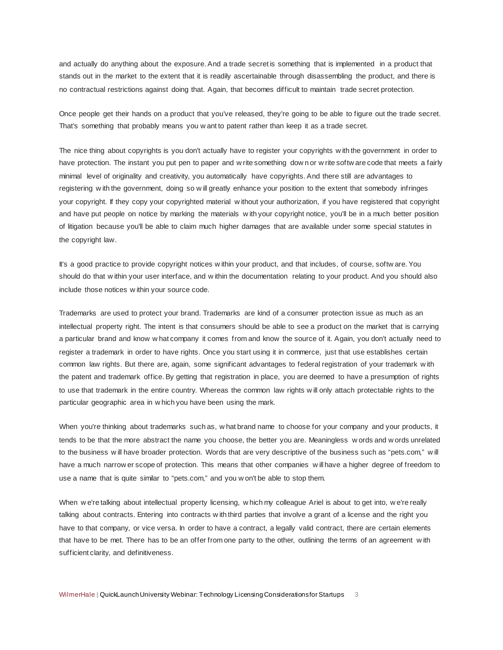and actually do anything about the exposure. And a trade secret is something that is implemented in a product that stands out in the market to the extent that it is readily ascertainable through disassembling the product, and there is no contractual restrictions against doing that. Again, that becomes difficult to maintain trade secret protection.

Once people get their hands on a product that you've released, they're going to be able to figure out the trade secret. That's something that probably means you w ant to patent rather than keep it as a trade secret.

The nice thing about copyrights is you don't actually have to register your copyrights w ith the government in order to have protection. The instant you put pen to paper and w rite something down or w rite softw are code that meets a fairly minimal level of originality and creativity, you automatically have copyrights. And there still are advantages to registering w ith the government, doing so w ill greatly enhance your position to the extent that somebody infringes your copyright. If they copy your copyrighted material w ithout your authorization, if you have registered that copyright and have put people on notice by marking the materials w ith your copyright notice, you'll be in a much better position of litigation because you'll be able to claim much higher damages that are available under some special statutes in the copyright law.

It's a good practice to provide copyright notices w ithin your product, and that includes, of course, softw are. You should do that w ithin your user interface, and w ithin the documentation relating to your product. And you should also include those notices w ithin your source code.

Trademarks are used to protect your brand. Trademarks are kind of a consumer protection issue as much as an intellectual property right. The intent is that consumers should be able to see a product on the market that is carrying a particular brand and know w hat company it comes from and know the source of it. Again, you don't actually need to register a trademark in order to have rights. Once you start using it in commerce, just that use establishes certain common law rights. But there are, again, some significant advantages to federal registration of your trademark w ith the patent and trademark office. By getting that registration in place, you are deemed to have a presumption of rights to use that trademark in the entire country. Whereas the common law rights w ill only attach protectable rights to the particular geographic area in w hich you have been using the mark.

When you're thinking about trademarks such as, w hat brand name to choose for your company and your products, it tends to be that the more abstract the name you choose, the better you are. Meaningless w ords and w ords unrelated to the business w ill have broader protection. Words that are very descriptive of the business such as "pets.com," w ill have a much narrow er scope of protection. This means that other companies w ill have a higher degree of freedom to use a name that is quite similar to "pets.com," and you w on't be able to stop them.

When w e're talking about intellectual property licensing, w hich my colleague Ariel is about to get into, w e're really talking about contracts. Entering into contracts w ith third parties that involve a grant of a license and the right you have to that company, or vice versa. In order to have a contract, a legally valid contract, there are certain elements that have to be met. There has to be an offer from one party to the other, outlining the terms of an agreement w ith sufficient clarity, and definitiveness.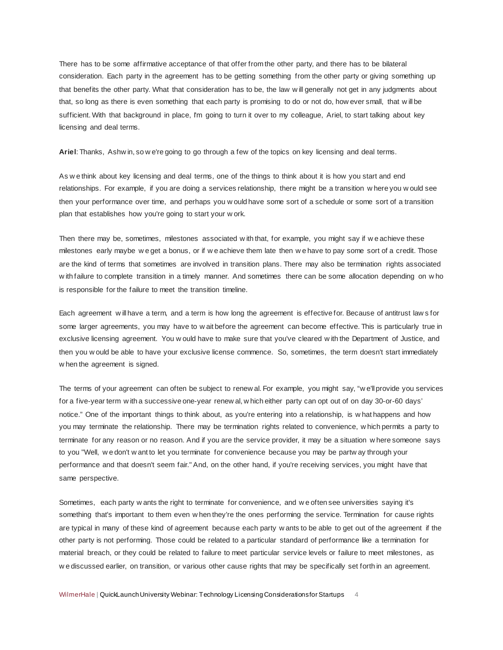There has to be some affirmative acceptance of that offer from the other party, and there has to be bilateral consideration. Each party in the agreement has to be getting something from the other party or giving something up that benefits the other party. What that consideration has to be, the law w ill generally not get in any judgments about that, so long as there is even something that each party is promising to do or not do, how ever small, that w ill be sufficient. With that background in place, I'm going to turn it over to my colleague, Ariel, to start talking about key licensing and deal terms.

**Ariel**: Thanks, Ashw in, so w e're going to go through a few of the topics on key licensing and deal terms.

As w e think about key licensing and deal terms, one of the things to think about it is how you start and end relationships. For example, if you are doing a services relationship, there might be a transition w here you w ould see then your performance over time, and perhaps you w ould have some sort of a schedule or some sort of a transition plan that establishes how you're going to start your w ork.

Then there may be, sometimes, milestones associated w ith that, for example, you might say if w e achieve these milestones early maybe w e get a bonus, or if w e achieve them late then w e have to pay some sort of a credit. Those are the kind of terms that sometimes are involved in transition plans. There may also be termination rights associated w ith failure to complete transition in a timely manner. And sometimes there can be some allocation depending on w ho is responsible for the failure to meet the transition timeline.

Each agreement w ill have a term, and a term is how long the agreement is effective for. Because of antitrust law s for some larger agreements, you may have to w ait before the agreement can become effective. This is particularly true in exclusive licensing agreement. You w ould have to make sure that you've cleared w ith the Department of Justice, and then you w ould be able to have your exclusive license commence. So, sometimes, the term doesn't start immediately w hen the agreement is signed.

The terms of your agreement can often be subject to renew al. For example, you might say, "w e'll provide you services for a five-year term w ith a successive one-year renew al, w hich either party can opt out of on day 30-or-60 days' notice." One of the important things to think about, as you're entering into a relationship, is w hat happens and how you may terminate the relationship. There may be termination rights related to convenience, w hich permits a party to terminate for any reason or no reason. And if you are the service provider, it may be a situation w here someone says to you "Well, w e don't w ant to let you terminate for convenience because you may be partw ay through your performance and that doesn't seem fair." And, on the other hand, if you're receiving services, you might have that same perspective.

Sometimes, each party w ants the right to terminate for convenience, and w e often see universities saying it's something that's important to them even w hen they're the ones performing the service. Termination for cause rights are typical in many of these kind of agreement because each party w ants to be able to get out of the agreement if the other party is not performing. Those could be related to a particular standard of performance like a termination for material breach, or they could be related to failure to meet particular service levels or failure to meet milestones, as w e discussed earlier, on transition, or various other cause rights that may be specifically set forth in an agreement.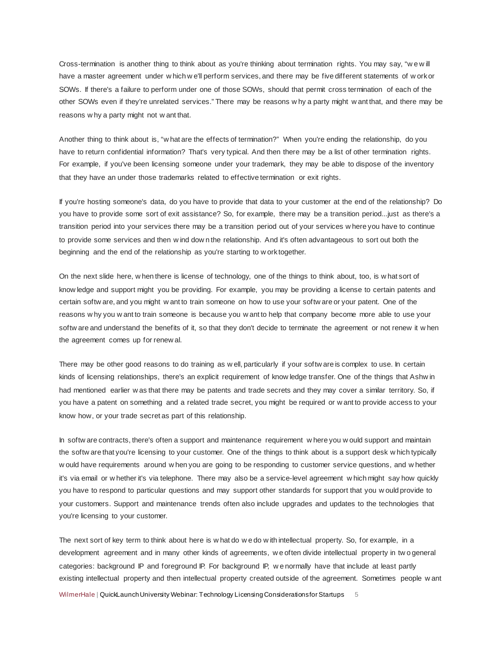Cross-termination is another thing to think about as you're thinking about termination rights. You may say, "w e w ill have a master agreement under w hich w e'll perform services, and there may be five different statements of w ork or SOWs. If there's a failure to perform under one of those SOWs, should that permit cross termination of each of the other SOWs even if they're unrelated services." There may be reasons w hy a party might w ant that, and there may be reasons w hy a party might not w ant that.

Another thing to think about is, "w hat are the effects of termination?" When you're ending the relationship, do you have to return confidential information? That's very typical. And then there may be a list of other termination rights. For example, if you've been licensing someone under your trademark, they may be able to dispose of the inventory that they have an under those trademarks related to effective termination or exit rights.

If you're hosting someone's data, do you have to provide that data to your customer at the end of the relationship? Do you have to provide some sort of exit assistance? So, for example, there may be a transition period...just as there's a transition period into your services there may be a transition period out of your services w here you have to continue to provide some services and then w ind dow n the relationship. And it's often advantageous to sort out both the beginning and the end of the relationship as you're starting to w ork together.

On the next slide here, w hen there is license of technology, one of the things to think about, too, is w hat sort of know ledge and support might you be providing. For example, you may be providing a license to certain patents and certain softw are, and you might w ant to train someone on how to use your softw are or your patent. One of the reasons w hy you w ant to train someone is because you w ant to help that company become more able to use your softw are and understand the benefits of it, so that they don't decide to terminate the agreement or not renew it w hen the agreement comes up for renew al.

There may be other good reasons to do training as w ell, particularly if your softw are is complex to use. In certain kinds of licensing relationships, there's an explicit requirement of know ledge transfer. One of the things that Ashw in had mentioned earlier w as that there may be patents and trade secrets and they may cover a similar territory. So, if you have a patent on something and a related trade secret, you might be required or w ant to provide access to your know how, or your trade secret as part of this relationship.

In softw are contracts, there's often a support and maintenance requirement w here you w ould support and maintain the softw are that you're licensing to your customer. One of the things to think about is a support desk w hich typically w ould have requirements around w hen you are going to be responding to customer service questions, and w hether it's via email or w hether it's via telephone. There may also be a service-level agreement w hich might say how quickly you have to respond to particular questions and may support other standards for support that you w ould provide to your customers. Support and maintenance trends often also include upgrades and updates to the technologies that you're licensing to your customer.

The next sort of key term to think about here is w hat do w e do w ith intellectual property. So, for example, in a development agreement and in many other kinds of agreements, w e often divide intellectual property in tw o general categories: background IP and foreground IP. For background IP, w e normally have that include at least partly existing intellectual property and then intellectual property created outside of the agreement. Sometimes people w ant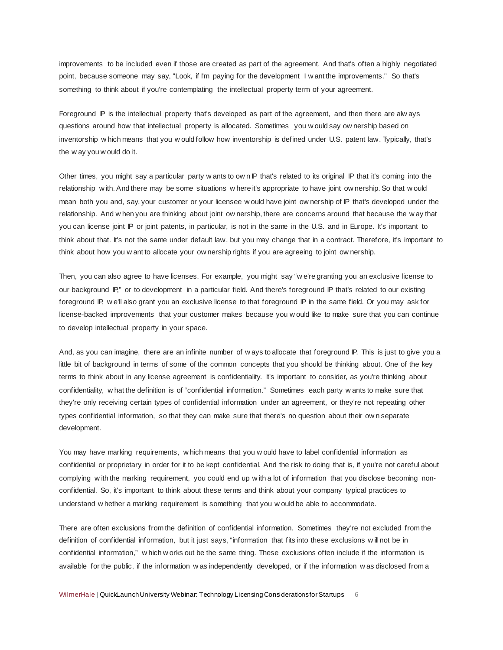improvements to be included even if those are created as part of the agreement. And that's often a highly negotiated point, because someone may say, "Look, if I'm paying for the development I w ant the improvements." So that's something to think about if you're contemplating the intellectual property term of your agreement.

Foreground IP is the intellectual property that's developed as part of the agreement, and then there are alw ays questions around how that intellectual property is allocated. Sometimes you w ould say ow nership based on inventorship w hich means that you w ould follow how inventorship is defined under U.S. patent law. Typically, that's the w ay you w ould do it.

Other times, you might say a particular party w ants to ow n IP that's related to its original IP that it's coming into the relationship w ith. And there may be some situations w here it's appropriate to have joint ow nership. So that w ould mean both you and, say, your customer or your licensee w ould have joint ow nership of IP that's developed under the relationship. And w hen you are thinking about joint ow nership, there are concerns around that because the w ay that you can license joint IP or joint patents, in particular, is not in the same in the U.S. and in Europe. It's important to think about that. It's not the same under default law, but you may change that in a contract. Therefore, it's important to think about how you w ant to allocate your ow nership rights if you are agreeing to joint ow nership.

Then, you can also agree to have licenses. For example, you might say "w e're granting you an exclusive license to our background IP," or to development in a particular field. And there's foreground IP that's related to our existing foreground IP, w e'll also grant you an exclusive license to that foreground IP in the same field. Or you may ask for license-backed improvements that your customer makes because you w ould like to make sure that you can continue to develop intellectual property in your space.

And, as you can imagine, there are an infinite number of w ays to allocate that foreground IP. This is just to give you a little bit of background in terms of some of the common concepts that you should be thinking about. One of the key terms to think about in any license agreement is confidentiality. It's important to consider, as you're thinking about confidentiality, w hat the definition is of "confidential information." Sometimes each party w ants to make sure that they're only receiving certain types of confidential information under an agreement, or they're not repeating other types confidential information, so that they can make sure that there's no question about their ow n separate development.

You may have marking requirements, w hich means that you w ould have to label confidential information as confidential or proprietary in order for it to be kept confidential. And the risk to doing that is, if you're not careful about complying w ith the marking requirement, you could end up w ith a lot of information that you disclose becoming nonconfidential. So, it's important to think about these terms and think about your company typical practices to understand w hether a marking requirement is something that you w ould be able to accommodate.

There are often exclusions from the definition of confidential information. Sometimes they're not excluded from the definition of confidential information, but it just says, "information that fits into these exclusions w ill not be in confidential information," w hich w orks out be the same thing. These exclusions often include if the information is available for the public, if the information w as independently developed, or if the information w as disclosed from a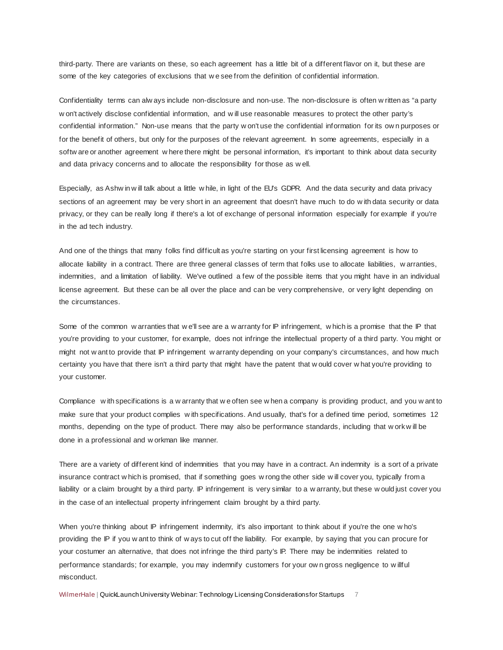third-party. There are variants on these, so each agreement has a little bit of a different flavor on it, but these are some of the key categories of exclusions that w e see from the definition of confidential information.

Confidentiality terms can alw ays include non-disclosure and non-use. The non-disclosure is often w ritten as "a party w on't actively disclose confidential information, and w ill use reasonable measures to protect the other party's confidential information." Non-use means that the party w on't use the confidential information for its ow n purposes or for the benefit of others, but only for the purposes of the relevant agreement. In some agreements, especially in a softw are or another agreement w here there might be personal information, it's important to think about data security and data privacy concerns and to allocate the responsibility for those as w ell.

Especially, as Ashw in w ill talk about a little w hile, in light of the EU's GDPR. And the data security and data privacy sections of an agreement may be very short in an agreement that doesn't have much to do w ith data security or data privacy, or they can be really long if there's a lot of exchange of personal information especially for example if you're in the ad tech industry.

And one of the things that many folks find difficult as you're starting on your first licensing agreement is how to allocate liability in a contract. There are three general classes of term that folks use to allocate liabilities, w arranties, indemnities, and a limitation of liability. We've outlined a few of the possible items that you might have in an individual license agreement. But these can be all over the place and can be very comprehensive, or very light depending on the circumstances.

Some of the common w arranties that we'll see are a w arranty for IP infringement, which is a promise that the IP that you're providing to your customer, for example, does not infringe the intellectual property of a third party. You might or might not w ant to provide that IP infringement w arranty depending on your company's circumstances, and how much certainty you have that there isn't a third party that might have the patent that w ould cover w hat you're providing to your customer.

Compliance w ith specifications is a w arranty that w e often see w hen a company is providing product, and you w ant to make sure that your product complies w ith specifications. And usually, that's for a defined time period, sometimes 12 months, depending on the type of product. There may also be performance standards, including that w ork w ill be done in a professional and w orkman like manner.

There are a variety of different kind of indemnities that you may have in a contract. An indemnity is a sort of a private insurance contract w hich is promised, that if something goes w rong the other side w ill cover you, typically from a liability or a claim brought by a third party. IP infringement is very similar to a w arranty, but these w ould just cover you in the case of an intellectual property infringement claim brought by a third party.

When you're thinking about IP infringement indemnity, it's also important to think about if you're the one w ho's providing the IP if you w ant to think of w ays to cut off the liability. For example, by saying that you can procure for your costumer an alternative, that does not infringe the third party's IP. There may be indemnities related to performance standards; for example, you may indemnify customers for your ow n gross negligence to w illful misconduct.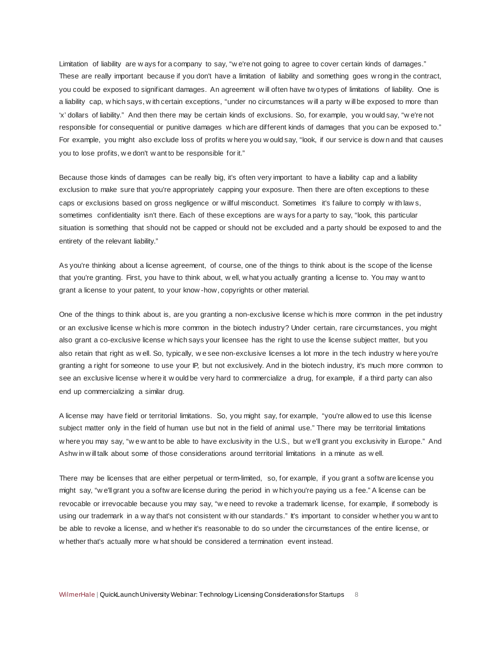Limitation of liability are w ays for a company to say, "w e're not going to agree to cover certain kinds of damages." These are really important because if you don't have a limitation of liability and something goes w rong in the contract, you could be exposed to significant damages. An agreement w ill often have tw o types of limitations of liability. One is a liability cap, w hich says, w ith certain exceptions, "under no circumstances w ill a party w ill be exposed to more than 'x' dollars of liability." And then there may be certain kinds of exclusions. So, for example, you w ould say, "w e're not responsible for consequential or punitive damages w hich are different kinds of damages that you can be exposed to." For example, you might also exclude loss of profits w here you w ould say, "look, if our service is dow n and that causes you to lose profits, w e don't w ant to be responsible for it."

Because those kinds of damages can be really big, it's often very important to have a liability cap and a liability exclusion to make sure that you're appropriately capping your exposure. Then there are often exceptions to these caps or exclusions based on gross negligence or w illful misconduct. Sometimes it's failure to comply w ith law s, sometimes confidentiality isn't there. Each of these exceptions are w ays for a party to say, "look, this particular situation is something that should not be capped or should not be excluded and a party should be exposed to and the entirety of the relevant liability."

As you're thinking about a license agreement, of course, one of the things to think about is the scope of the license that you're granting. First, you have to think about, w ell, w hat you actually granting a license to. You may w ant to grant a license to your patent, to your know -how, copyrights or other material.

One of the things to think about is, are you granting a non-exclusive license w hich is more common in the pet industry or an exclusive license w hich is more common in the biotech industry? Under certain, rare circumstances, you might also grant a co-exclusive license w hich says your licensee has the right to use the license subject matter, but you also retain that right as w ell. So, typically, w e see non-exclusive licenses a lot more in the tech industry w here you're granting a right for someone to use your IP, but not exclusively. And in the biotech industry, it's much more common to see an exclusive license w here it w ould be very hard to commercialize a drug, for example, if a third party can also end up commercializing a similar drug.

A license may have field or territorial limitations. So, you might say, for example, "you're allow ed to use this license subject matter only in the field of human use but not in the field of animal use." There may be territorial limitations w here you may say, "w e w ant to be able to have exclusivity in the U.S., but w e'll grant you exclusivity in Europe." And Ashw in w ill talk about some of those considerations around territorial limitations in a minute as w ell.

There may be licenses that are either perpetual or term-limited, so, for example, if you grant a softw are license you might say, "w e'll grant you a softw are license during the period in w hich you're paying us a fee." A license can be revocable or irrevocable because you may say, "w e need to revoke a trademark license, for example, if somebody is using our trademark in a w ay that's not consistent w ith our standards." It's important to consider w hether you w ant to be able to revoke a license, and w hether it's reasonable to do so under the circumstances of the entire license, or w hether that's actually more w hat should be considered a termination event instead.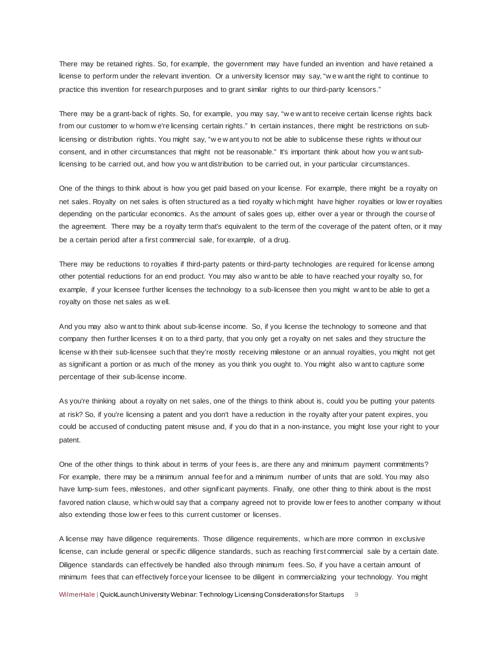There may be retained rights. So, for example, the government may have funded an invention and have retained a license to perform under the relevant invention. Or a university licensor may say, "w e w ant the right to continue to practice this invention for research purposes and to grant similar rights to our third-party licensors."

There may be a grant-back of rights. So, for example, you may say, "w e w ant to receive certain license rights back from our customer to w hom w e're licensing certain rights." In certain instances, there might be restrictions on sublicensing or distribution rights. You might say, "w e w ant you to not be able to sublicense these rights w ithout our consent, and in other circumstances that might not be reasonable." It's important think about how you w ant sublicensing to be carried out, and how you w ant distribution to be carried out, in your particular circumstances.

One of the things to think about is how you get paid based on your license. For example, there might be a royalty on net sales. Royalty on net sales is often structured as a tied royalty w hich might have higher royalties or low er royalties depending on the particular economics. As the amount of sales goes up, either over a year or through the course of the agreement. There may be a royalty term that's equivalent to the term of the coverage of the patent often, or it may be a certain period after a first commercial sale, for example, of a drug.

There may be reductions to royalties if third-party patents or third-party technologies are required for license among other potential reductions for an end product. You may also w ant to be able to have reached your royalty so, for example, if your licensee further licenses the technology to a sub-licensee then you might w ant to be able to get a royalty on those net sales as w ell.

And you may also w ant to think about sub-license income. So, if you license the technology to someone and that company then further licenses it on to a third party, that you only get a royalty on net sales and they structure the license w ith their sub-licensee such that they're mostly receiving milestone or an annual royalties, you might not get as significant a portion or as much of the money as you think you ought to. You might also w ant to capture some percentage of their sub-license income.

As you're thinking about a royalty on net sales, one of the things to think about is, could you be putting your patents at risk? So, if you're licensing a patent and you don't have a reduction in the royalty after your patent expires, you could be accused of conducting patent misuse and, if you do that in a non-instance, you might lose your right to your patent.

One of the other things to think about in terms of your fees is, are there any and minimum payment commitments? For example, there may be a minimum annual fee for and a minimum number of units that are sold. You may also have lump-sum fees, milestones, and other significant payments. Finally, one other thing to think about is the most favored nation clause, w hich w ould say that a company agreed not to provide low er fees to another company w ithout also extending those low er fees to this current customer or licenses.

A license may have diligence requirements. Those diligence requirements, w hich are more common in exclusive license, can include general or specific diligence standards, such as reaching first commercial sale by a certain date. Diligence standards can effectively be handled also through minimum fees. So, if you have a certain amount of minimum fees that can effectively force your licensee to be diligent in commercializing your technology. You might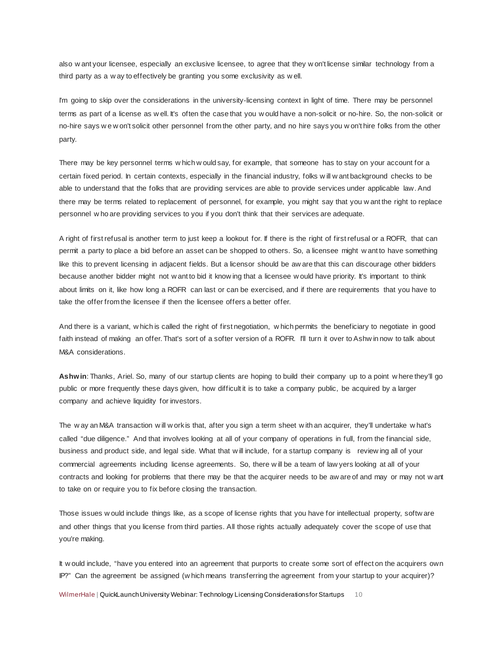also w ant your licensee, especially an exclusive licensee, to agree that they w on't license similar technology from a third party as a w ay to effectively be granting you some exclusivity as w ell.

I'm going to skip over the considerations in the university-licensing context in light of time. There may be personnel terms as part of a license as w ell. It's often the case that you w ould have a non-solicit or no-hire. So, the non-solicit or no-hire says w e w on't solicit other personnel from the other party, and no hire says you w on't hire folks from the other party.

There may be key personnel terms w hich w ould say, for example, that someone has to stay on your account for a certain fixed period. In certain contexts, especially in the financial industry, folks w ill w ant background checks to be able to understand that the folks that are providing services are able to provide services under applicable law. And there may be terms related to replacement of personnel, for example, you might say that you w ant the right to replace personnel w ho are providing services to you if you don't think that their services are adequate.

A right of first refusal is another term to just keep a lookout for. If there is the right of first refusal or a ROFR, that can permit a party to place a bid before an asset can be shopped to others. So, a licensee might w ant to have something like this to prevent licensing in adjacent fields. But a licensor should be aw are that this can discourage other bidders because another bidder might not w ant to bid it know ing that a licensee w ould have priority. It's important to think about limits on it, like how long a ROFR can last or can be exercised, and if there are requirements that you have to take the offer from the licensee if then the licensee offers a better offer.

And there is a variant, w hich is called the right of first negotiation, w hich permits the beneficiary to negotiate in good faith instead of making an offer. That's sort of a softer version of a ROFR. I'll turn it over to Ashw in now to talk about M&A considerations.

**Ashwin**: Thanks, Ariel. So, many of our startup clients are hoping to build their company up to a point w here they'll go public or more frequently these days given, how difficult it is to take a company public, be acquired by a larger company and achieve liquidity for investors.

The w ay an M&A transaction w ill w ork is that, after you sign a term sheet w ith an acquirer, they'll undertake w hat's called "due diligence." And that involves looking at all of your company of operations in full, from the financial side, business and product side, and legal side. What that w ill include, for a startup company is review ing all of your commercial agreements including license agreements. So, there w ill be a team of law yers looking at all of your contracts and looking for problems that there may be that the acquirer needs to be aw are of and may or may not w ant to take on or require you to fix before closing the transaction.

Those issues w ould include things like, as a scope of license rights that you have for intellectual property, softw are and other things that you license from third parties. All those rights actually adequately cover the scope of use that you're making.

It w ould include, "have you entered into an agreement that purports to create some sort of effect on the acquirers own IP?" Can the agreement be assigned (w hich means transferring the agreement from your startup to your acquirer)?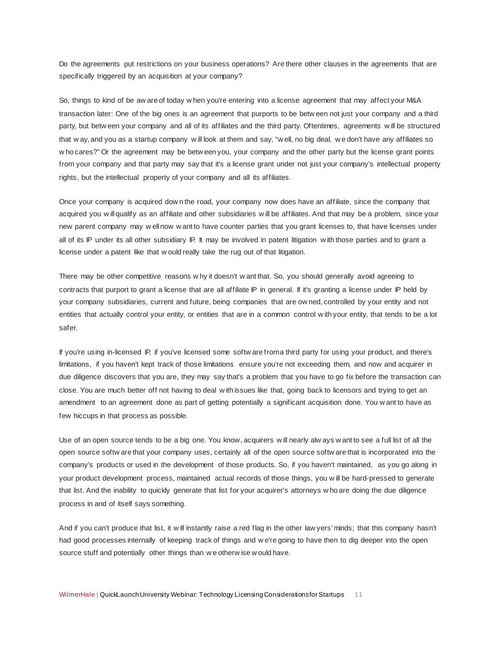Do the agreements put restrictions on your business operations? Are there other clauses in the agreements that are specifically triggered by an acquisition at your company?

So, things to kind of be aw are of today w hen you're entering into a license agreement that may affect your M&A transaction later: One of the big ones is an agreement that purports to be betw een not just your company and a third party, but betw een your company and all of its affiliates and the third party. Oftentimes, agreements w ill be structured that w ay, and you as a startup company w ill look at them and say, "w ell, no big deal, w e don't have any affiliates so w ho cares?" Or the agreement may be betw een you, your company and the other party but the license grant points from your company and that party may say that it's a license grant under not just your company's intellectual property rights, but the intellectual property of your company and all its affiliates.

Once your company is acquired dow n the road, your company now does have an affiliate, since the company that acquired you w ill qualify as an affiliate and other subsidiaries w ill be affiliates. And that may be a problem, since your new parent company may w ell now w ant to have counter parties that you grant licenses to, that have licenses under all of its IP under its all other subsidiary IP. It may be involved in patent litigation with those parties and to grant a license under a patent like that w ould really take the rug out of that litigation.

There may be other competitive reasons w hy it doesn't w ant that. So, you should generally avoid agreeing to contracts that purport to grant a license that are all affiliate IP in general. If it's granting a license under IP held by your company subsidiaries, current and future, being companies that are ow ned, controlled by your entity and not entities that actually control your entity, or entities that are in a common control w ith your entity, that tends to be a lot safer.

If you're using in-licensed IP, if you've licensed some softw are from a third party for using your product, and there's limitations, if you haven't kept track of those limitations ensure you're not exceeding them, and now and acquirer in due diligence discovers that you are, they may say that's a problem that you have to go fix before the transaction can close. You are much better off not having to deal w ith issues like that, going back to licensors and trying to get an amendment to an agreement done as part of getting potentially a significant acquisition done. You w ant to have as few hiccups in that process as possible.

Use of an open source tends to be a big one. You know, acquirers w ill nearly alw ays w ant to see a full list of all the open source softw are that your company uses, certainly all of the open source softw are that is incorporated into the company's products or used in the development of those products. So, if you haven't maintained, as you go along in your product development process, maintained actual records of those things, you w ill be hard-pressed to generate that list. And the inability to quickly generate that list for your acquirer's attorneys w ho are doing the due diligence process in and of itself says something.

And if you can't produce that list, it w ill instantly raise a red flag in the other law yers' minds; that this company hasn't had good processes internally of keeping track of things and w e're going to have then to dig deeper into the open source stuff and potentially other things than w e otherw ise w ould have.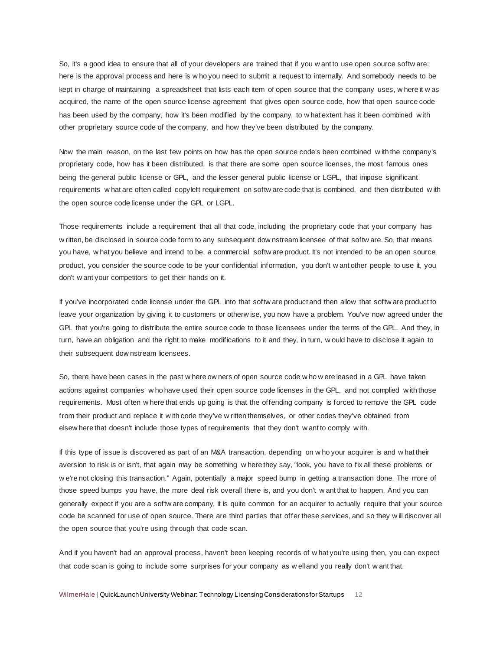So, it's a good idea to ensure that all of your developers are trained that if you w ant to use open source softw are: here is the approval process and here is w ho you need to submit a request to internally. And somebody needs to be kept in charge of maintaining a spreadsheet that lists each item of open source that the company uses, w here it w as acquired, the name of the open source license agreement that gives open source code, how that open source code has been used by the company, how it's been modified by the company, to w hat extent has it been combined w ith other proprietary source code of the company, and how they've been distributed by the company.

Now the main reason, on the last few points on how has the open source code's been combined w ith the company's proprietary code, how has it been distributed, is that there are some open source licenses, the most famous ones being the general public license or GPL, and the lesser general public license or LGPL, that impose significant requirements w hat are often called copyleft requirement on softw are code that is combined, and then distributed w ith the open source code license under the GPL or LGPL.

Those requirements include a requirement that all that code, including the proprietary code that your company has w ritten, be disclosed in source code form to any subsequent dow nstream licensee of that softw are. So, that means you have, w hat you believe and intend to be, a commercial softw are product. It's not intended to be an open source product, you consider the source code to be your confidential information, you don't w ant other people to use it, you don't w ant your competitors to get their hands on it.

If you've incorporated code license under the GPL into that softw are product and then allow that softw are product to leave your organization by giving it to customers or otherw ise, you now have a problem. You've now agreed under the GPL that you're going to distribute the entire source code to those licensees under the terms of the GPL. And they, in turn, have an obligation and the right to make modifications to it and they, in turn, w ould have to disclose it again to their subsequent dow nstream licensees.

So, there have been cases in the past w here ow ners of open source code w ho w ere leased in a GPL have taken actions against companies w ho have used their open source code licenses in the GPL, and not complied w ith those requirements. Most often w here that ends up going is that the offending company is forced to remove the GPL code from their product and replace it w ith code they've w ritten themselves, or other codes they've obtained from elsew here that doesn't include those types of requirements that they don't w ant to comply w ith.

If this type of issue is discovered as part of an M&A transaction, depending on w ho your acquirer is and w hat their aversion to risk is or isn't, that again may be something w here they say, "look, you have to fix all these problems or w e're not closing this transaction." Again, potentially a major speed bump in getting a transaction done. The more of those speed bumps you have, the more deal risk overall there is, and you don't w ant that to happen. And you can generally expect if you are a softw are company, it is quite common for an acquirer to actually require that your source code be scanned for use of open source. There are third parties that offer these services, and so they w ill discover all the open source that you're using through that code scan.

And if you haven't had an approval process, haven't been keeping records of w hat you're using then, you can expect that code scan is going to include some surprises for your company as w ell and you really don't w ant that.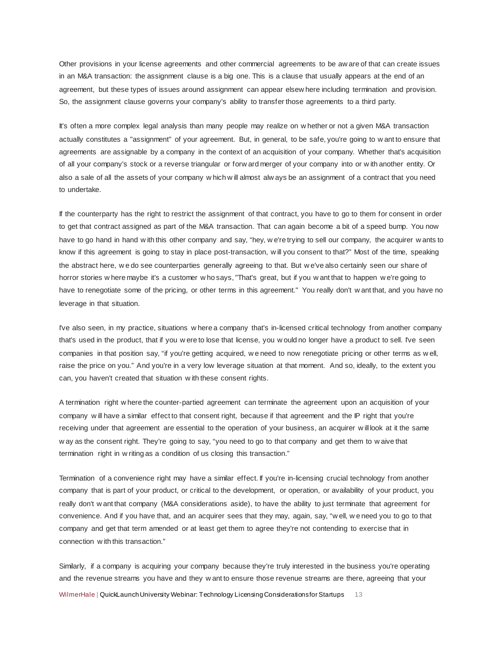Other provisions in your license agreements and other commercial agreements to be aw are of that can create issues in an M&A transaction: the assignment clause is a big one. This is a clause that usually appears at the end of an agreement, but these types of issues around assignment can appear elsew here including termination and provision. So, the assignment clause governs your company's ability to transfer those agreements to a third party.

It's often a more complex legal analysis than many people may realize on w hether or not a given M&A transaction actually constitutes a "assignment" of your agreement. But, in general, to be safe, you're going to w ant to ensure that agreements are assignable by a company in the context of an acquisition of your company. Whether that's acquisition of all your company's stock or a reverse triangular or forw ard merger of your company into or w ith another entity. Or also a sale of all the assets of your company w hich w ill almost alw ays be an assignment of a contract that you need to undertake.

If the counterparty has the right to restrict the assignment of that contract, you have to go to them for consent in order to get that contract assigned as part of the M&A transaction. That can again become a bit of a speed bump. You now have to go hand in hand w ith this other company and say, "hey, w e're trying to sell our company, the acquirer w ants to know if this agreement is going to stay in place post-transaction, w ill you consent to that?" Most of the time, speaking the abstract here, w e do see counterparties generally agreeing to that. But w e've also certainly seen our share of horror stories w here maybe it's a customer w ho says, "That's great, but if you w ant that to happen w e're going to have to renegotiate some of the pricing, or other terms in this agreement." You really don't w ant that, and you have no leverage in that situation.

I've also seen, in my practice, situations w here a company that's in-licensed critical technology from another company that's used in the product, that if you w ere to lose that license, you w ould no longer have a product to sell. I've seen companies in that position say, "if you're getting acquired, w e need to now renegotiate pricing or other terms as w ell, raise the price on you." And you're in a very low leverage situation at that moment. And so, ideally, to the extent you can, you haven't created that situation w ith these consent rights.

A termination right w here the counter-partied agreement can terminate the agreement upon an acquisition of your company w ill have a similar effect to that consent right, because if that agreement and the IP right that you're receiving under that agreement are essential to the operation of your business, an acquirer w ill look at it the same w ay as the consent right. They're going to say, "you need to go to that company and get them to w aive that termination right in w riting as a condition of us closing this transaction."

Termination of a convenience right may have a similar effect. If you're in-licensing crucial technology from another company that is part of your product, or critical to the development, or operation, or availability of your product, you really don't w ant that company (M&A considerations aside), to have the ability to just terminate that agreement for convenience. And if you have that, and an acquirer sees that they may, again, say, "w ell, w e need you to go to that company and get that term amended or at least get them to agree they're not contending to exercise that in connection w ith this transaction."

WilmerHale | QuickLaunch University Webinar: Technology Licensing Considerations for Startups 13 Similarly, if a company is acquiring your company because they're truly interested in the business you're operating and the revenue streams you have and they w ant to ensure those revenue streams are there, agreeing that your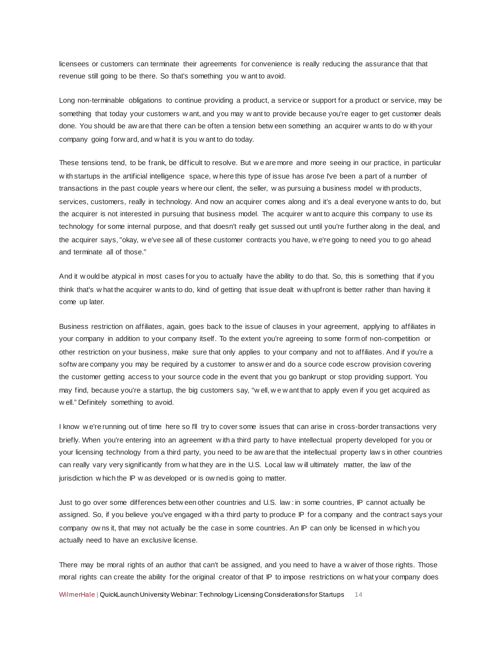licensees or customers can terminate their agreements for convenience is really reducing the assurance that that revenue still going to be there. So that's something you w ant to avoid.

Long non-terminable obligations to continue providing a product, a service or support for a product or service, may be something that today your customers w ant, and you may w ant to provide because you're eager to get customer deals done. You should be aw are that there can be often a tension betw een something an acquirer w ants to do w ith your company going forw ard, and w hat it is you w ant to do today.

These tensions tend, to be frank, be difficult to resolve. But w e are more and more seeing in our practice, in particular w ith startups in the artificial intelligence space, w here this type of issue has arose I've been a part of a number of transactions in the past couple years w here our client, the seller, w as pursuing a business model w ith products, services, customers, really in technology. And now an acquirer comes along and it's a deal everyone w ants to do, but the acquirer is not interested in pursuing that business model. The acquirer w ant to acquire this company to use its technology for some internal purpose, and that doesn't really get sussed out until you're further along in the deal, and the acquirer says, "okay, w e've see all of these customer contracts you have, w e're going to need you to go ahead and terminate all of those."

And it w ould be atypical in most cases for you to actually have the ability to do that. So, this is something that if you think that's w hat the acquirer w ants to do, kind of getting that issue dealt w ith upfront is better rather than having it come up later.

Business restriction on affiliates, again, goes back to the issue of clauses in your agreement, applying to affiliates in your company in addition to your company itself. To the extent you're agreeing to some form of non-competition or other restriction on your business, make sure that only applies to your company and not to affiliates. And if you're a softw are company you may be required by a customer to answ er and do a source code escrow provision covering the customer getting access to your source code in the event that you go bankrupt or stop providing support. You may find, because you're a startup, the big customers say, "w ell, w e w ant that to apply even if you get acquired as w ell." Definitely something to avoid.

I know w e're running out of time here so I'll try to cover some issues that can arise in cross-border transactions very briefly. When you're entering into an agreement with a third party to have intellectual property developed for you or your licensing technology from a third party, you need to be aw are that the intellectual property law s in other countries can really vary very significantly from w hat they are in the U.S. Local law w ill ultimately matter, the law of the jurisdiction w hich the IP w as developed or is ow ned is going to matter.

Just to go over some differences betw een other countries and U.S. law : in some countries, IP cannot actually be assigned. So, if you believe you've engaged w ith a third party to produce IP for a company and the contract says your company ow ns it, that may not actually be the case in some countries. An IP can only be licensed in w hich you actually need to have an exclusive license.

There may be moral rights of an author that can't be assigned, and you need to have a w aiver of those rights. Those moral rights can create the ability for the original creator of that IP to impose restrictions on w hat your company does